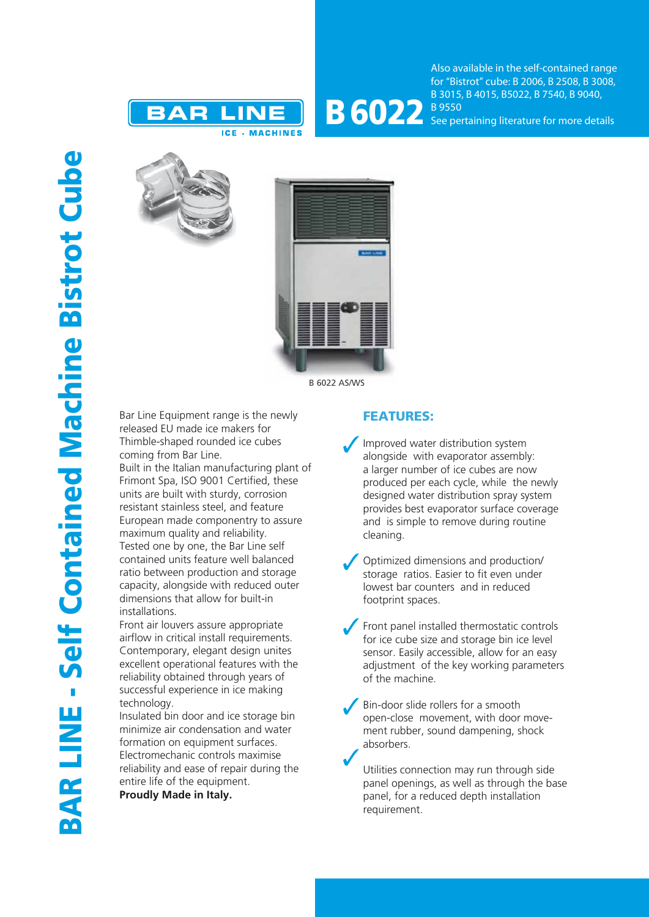



Also available in the self-contained range for "Bistrot" cube: B 2006, B 2508, B 3008, B 3015, B 4015, B5022, B 7540, B 9040, See pertaining literature for more details





Bar Line Equipment range is the newly released EU made ice makers for Thimble-shaped rounded ice cubes coming from Bar Line.

Built in the Italian manufacturing plant of Frimont Spa, ISO 9001 Certified, these units are built with sturdy, corrosion resistant stainless steel, and feature European made componentry to assure maximum quality and reliability. Tested one by one, the Bar Line self contained units feature well balanced ratio between production and storage capacity, alongside with reduced outer dimensions that allow for built-in installations.

Front air louvers assure appropriate airflow in critical install requirements. Contemporary, elegant design unites excellent operational features with the reliability obtained through years of successful experience in ice making technology.

Insulated bin door and ice storage bin minimize air condensation and water formation on equipment surfaces. Electromechanic controls maximise reliability and ease of repair during the entire life of the equipment.

**Proudly Made in Italy.**

## FEATURES:

- Improved water distribution system alongside with evaporator assembly: a larger number of ice cubes are now produced per each cycle, while the newly designed water distribution spray system provides best evaporator surface coverage and is simple to remove during routine cleaning.
- Optimized dimensions and production/ storage ratios. Easier to fit even under lowest bar counters and in reduced footprint spaces.
- Front panel installed thermostatic controls for ice cube size and storage bin ice level sensor. Easily accessible, allow for an easy adjustment of the key working parameters of the machine.
- Bin-door slide rollers for a smooth open-close movement, with door movement rubber, sound dampening, shock absorbers.

Utilities connection may run through side panel openings, as well as through the base panel, for a reduced depth installation requirement.